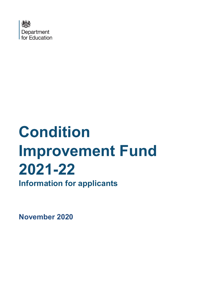

# **Condition Improvement Fund 2021-22**

**Information for applicants** 

**November 2020**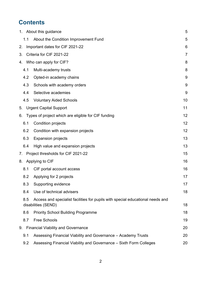# **Contents**

|     | 1. About this guidance                                                                                | 5  |
|-----|-------------------------------------------------------------------------------------------------------|----|
| 1.1 | About the Condition Improvement Fund                                                                  | 5  |
| 2.  | Important dates for CIF 2021-22                                                                       | 6  |
| 3.  | Criteria for CIF 2021-22                                                                              | 7  |
| 4.  | Who can apply for CIF?                                                                                | 8  |
| 4.1 | Multi-academy trusts                                                                                  | 8  |
| 4.2 | Opted-in academy chains                                                                               | 9  |
| 4.3 | Schools with academy orders                                                                           | 9  |
| 4.4 | Selective academies                                                                                   | 9  |
| 4.5 | <b>Voluntary Aided Schools</b>                                                                        | 10 |
| 5.  | <b>Urgent Capital Support</b>                                                                         | 11 |
| 6.  | Types of project which are eligible for CIF funding                                                   | 12 |
| 6.1 | <b>Condition projects</b>                                                                             | 12 |
| 6.2 | Condition with expansion projects                                                                     | 12 |
| 6.3 | <b>Expansion projects</b>                                                                             | 13 |
| 6.4 | High value and expansion projects                                                                     | 13 |
| 7.  | Project thresholds for CIF 2021-22                                                                    | 15 |
| 8.  | Applying to CIF                                                                                       | 16 |
| 8.1 | CIF portal account access                                                                             | 16 |
| 8.2 | Applying for 2 projects                                                                               | 17 |
| 8.3 | Supporting evidence                                                                                   | 17 |
| 8.4 | Use of technical advisers                                                                             | 18 |
| 8.5 | Access and specialist facilities for pupils with special educational needs and<br>disabilities (SEND) | 18 |
| 8.6 | <b>Priority School Building Programme</b>                                                             | 18 |
| 8.7 | <b>Free Schools</b>                                                                                   | 19 |
| 9.  | <b>Financial Viability and Governance</b>                                                             | 20 |
| 9.1 | Assessing Financial Viability and Governance - Academy Trusts                                         | 20 |
| 9.2 | Assessing Financial Viability and Governance - Sixth Form Colleges                                    | 20 |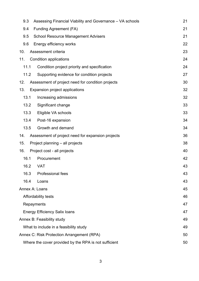| 9.3  |                                                             | Assessing Financial Viability and Governance - VA schools | 21 |  |  |
|------|-------------------------------------------------------------|-----------------------------------------------------------|----|--|--|
| 9.4  |                                                             | 21<br><b>Funding Agreement (FA)</b>                       |    |  |  |
| 9.5  | 21<br><b>School Resource Management Advisers</b>            |                                                           |    |  |  |
| 9.6  |                                                             | Energy efficiency works                                   | 22 |  |  |
| 10.  |                                                             | Assessment criteria                                       | 23 |  |  |
| 11.  |                                                             | <b>Condition applications</b>                             | 24 |  |  |
| 11.1 |                                                             | Condition project priority and specification              | 24 |  |  |
|      | 11.2                                                        | Supporting evidence for condition projects                | 27 |  |  |
| 12.  |                                                             | Assessment of project need for condition projects         | 30 |  |  |
| 13.  |                                                             | Expansion project applications                            | 32 |  |  |
| 13.1 |                                                             | Increasing admissions                                     | 32 |  |  |
| 13.2 |                                                             | Significant change                                        | 33 |  |  |
|      | 13.3                                                        | Eligible VA schools                                       | 33 |  |  |
| 13.4 |                                                             | Post-16 expansion                                         | 34 |  |  |
| 13.5 |                                                             | Growth and demand                                         | 34 |  |  |
| 14.  |                                                             | Assessment of project need for expansion projects         | 36 |  |  |
| 15.  |                                                             | Project planning - all projects                           | 38 |  |  |
| 16.  |                                                             | Project cost - all projects                               | 40 |  |  |
| 16.1 |                                                             | Procurement                                               | 42 |  |  |
| 16.2 |                                                             | <b>VAT</b>                                                | 43 |  |  |
|      | 16.3                                                        | <b>Professional fees</b>                                  | 43 |  |  |
|      | 16.4<br>Loans                                               |                                                           | 43 |  |  |
|      | Annex A: Loans                                              |                                                           | 45 |  |  |
|      | 46<br>Affordability tests                                   |                                                           |    |  |  |
|      | 47<br>Repayments                                            |                                                           |    |  |  |
|      |                                                             | <b>Energy Efficiency Salix loans</b>                      | 47 |  |  |
|      |                                                             | Annex B: Feasibility study                                | 49 |  |  |
|      | What to include in a feasibility study<br>49                |                                                           |    |  |  |
|      | Annex C: Risk Protection Arrangement (RPA)<br>50            |                                                           |    |  |  |
|      | Where the cover provided by the RPA is not sufficient<br>50 |                                                           |    |  |  |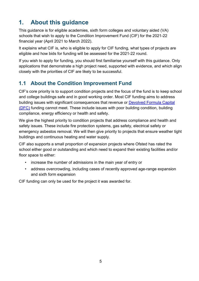# <span id="page-4-0"></span>**1. About this guidance**

This guidance is for eligible academies, sixth form colleges and voluntary aided (VA) schools that wish to apply to the Condition Improvement Fund (CIF) for the 2021-22 financial year (April 2021 to March 2022).

It explains what CIF is, who is eligible to apply for CIF funding, what types of projects are eligible and how bids for funding will be assessed for the 2021-22 round.

If you wish to apply for funding, you should first familiarise yourself with this guidance. Only applications that demonstrate a high project need, supported with evidence, and which align closely with the priorities of CIF are likely to be successful.

## <span id="page-4-1"></span>**1.1 About the Condition Improvement Fund**

CIF's core priority is to support condition projects and the focus of the fund is to keep school and college buildings safe and in good working order. Most CIF funding aims to address building issues with significant consequences that revenue or [Devolved Formula Capital](https://www.gov.uk/government/publications/capital-allocations) [\(DFC\)](https://www.gov.uk/government/publications/capital-allocations) funding cannot meet. These include issues with poor building condition, building compliance, energy efficiency or health and safety.

We give the highest priority to condition projects that address compliance and health and safety issues. These include fire protection systems, gas safety, electrical safety or emergency asbestos removal. We will then give priority to projects that ensure weather tight buildings and continuous heating and water supply.

CIF also supports a small proportion of expansion projects where Ofsted has rated the school either good or outstanding and which need to expand their existing facilities and/or floor space to either:

- increase the number of admissions in the main year of entry or
- address overcrowding, including cases of recently approved age-range expansion and sixth form expansion

CIF funding can only be used for the project it was awarded for.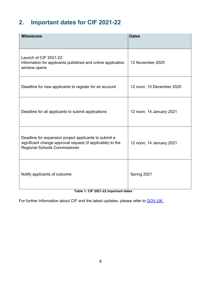# <span id="page-5-0"></span>**2. Important dates for CIF 2021-22**

| <b>Milestones</b>                                                                                                                                           | <b>Dates</b>              |
|-------------------------------------------------------------------------------------------------------------------------------------------------------------|---------------------------|
| Launch of CIF 2021-22:<br>Information for applicants published and online application<br>window opens                                                       | 12 November 2020          |
| Deadline for new applicants to register for an account                                                                                                      | 12 noon, 10 December 2020 |
| Deadline for all applicants to submit applications                                                                                                          | 12 noon, 14 January 2021  |
| Deadline for expansion project applicants to submit a<br>significant change approval request (if applicable) to the<br><b>Regional Schools Commissioner</b> | 12 noon, 14 January 2021  |
| Notify applicants of outcome<br>Table 1: CIE 2021 22 important datas                                                                                        | Spring 2021               |

**Table 1: CIF 2021-22 important dates**

For further information about CIF and the latest updates, please refer to **GOV.UK.**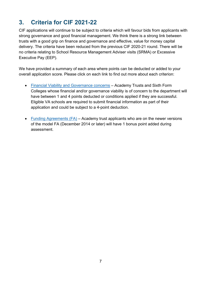# <span id="page-6-0"></span>**3. Criteria for CIF 2021-22**

CIF applications will continue to be subject to criteria which will favour bids from applicants with strong governance and good financial management. We think there is a strong link between trusts with a good grip on finance and governance and effective, value for money capital delivery. The criteria have been reduced from the previous CIF 2020-21 round. There will be no criteria relating to School Resource Management Adviser visits (SRMA) or Excessive Executive Pay (EEP).

We have provided a summary of each area where points can be deducted or added to your overall application score. Please click on each link to find out more about each criterion:

- [Financial Viability and Governance concerns](#page-19-1) Academy Trusts and Sixth Form Colleges whose financial and/or governance viability is of concern to the department will have between 1 and 4 points deducted or conditions applied if they are successful. Eligible VA schools are required to submit financial information as part of their application and could be subject to a 4-point deduction.
- Funding Agreements (FA) Academy trust applicants who are on the newer versions of the model FA (December 2014 or later) will have 1 bonus point added during assessment.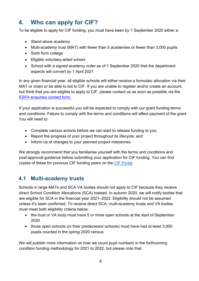# <span id="page-7-0"></span>**4. Who can apply for CIF?**

To be eligible to apply for CIF funding, you must have been by 1 September 2020 either a:

- Stand-alone academy
- Multi-academy trust (MAT) with fewer than 5 academies or fewer than 3,000 pupils
- Sixth form college
- Eligible voluntary-aided school
- School with a signed academy order as of 1 September 2020 that the department expects will convert by 1 April 2021

In any given financial year, all eligible schools will either receive a formulaic allocation via their MAT or chain or be able to bid to CIF. If you are unable to register and/or create an account, but think that you are eligible to apply to CIF, please contact us as soon as possible via the [ESFA enquiries contact form.](https://form.education.gov.uk/en/AchieveForms/?form_uri=sandbox-publish://AF-Process-f9f4f5a1-936f-448b-bbeb-9dcdd595f468/AF-Stage-8aa41278-3cdd-45a3-ad87-80cbffb8b992/definition.json&redirectlink=%2Fen&cancelRedirectLink=%2Fen)

If your application is successful you will be expected to comply with our grant funding terms and conditions. Failure to comply with the terms and conditions will affect payment of the grant. You will need to:

- Complete various actions before we can start to release funding to you;
- Report the progress of your project throughout its lifecycle; and
- Inform us of changes to your planned project milestones

We strongly recommend that you familiarise yourself with the terms and conditions and post-approval guidance before submitting your application for CIF funding. You can find copies of these for previous CIF funding years on the [CIF Portal.](https://dfe-capital.microsoftcrmportals.com/)

#### <span id="page-7-1"></span>**4.1 Multi-academy trusts**

Schools in large MATs and SCA VA bodies should not apply to CIF because they receive direct School Condition Allocations (SCA) instead. In autumn 2020, we will notify bodies that are eligible for SCA in the financial year 2021–2022. Eligibility should not be assumed unless it's been confirmed. To receive direct SCA, multi-academy trusts and VA bodies must meet both eligibility criteria below:

- the trust or VA body must have 5 or more open schools at the start of September 2020
- those open schools (or their predecessor schools) must have had at least 3,000 pupils counted in the spring 2020 census

We will publish more information on how we count pupil numbers in the forthcoming condition funding methodology for 2021 to 2022, but please note that: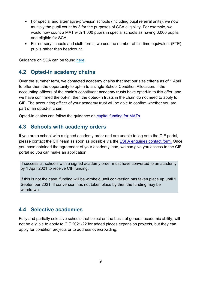- For special and alternative-provision schools (including pupil referral units), we now multiply the pupil count by 3 for the purposes of SCA eligibility. For example, we would now count a MAT with 1,000 pupils in special schools as having 3,000 pupils, and eligible for SCA.
- For nursery schools and sixth forms, we use the number of full-time equivalent (FTE) pupils rather than headcount.

Guidance on SCA can be found [here.](https://www.gov.uk/guidance/school-capital-funding)

### <span id="page-8-0"></span>**4.2 Opted-in academy chains**

Over the summer term, we contacted academy chains that met our size criteria as of 1 April to offer them the opportunity to opt-in to a single School Condition Allocation. If the accounting officers of the chain's constituent academy trusts have opted-in to this offer, and we have confirmed the opt-in, then the opted-in trusts in the chain do not need to apply to CIF. The accounting officer of your academy trust will be able to confirm whether you are part of an opted-in chain.

Opted-in chains can follow the guidance on [capital funding for MATs.](https://www.gov.uk/guidance/capital-funding-for-multi-academy-trusts-mats)

#### <span id="page-8-1"></span>**4.3 Schools with academy orders**

If you are a school with a signed academy order and are unable to log onto the CIF portal, please contact the CIF team as soon as possible via the [ESFA enquiries contact form.](https://form.education.gov.uk/en/AchieveForms/?form_uri=sandbox-publish://AF-Process-f9f4f5a1-936f-448b-bbeb-9dcdd595f468/AF-Stage-8aa41278-3cdd-45a3-ad87-80cbffb8b992/definition.json&redirectlink=%2Fen&cancelRedirectLink=%2Fen) Once you have obtained the agreement of your academy lead, we can give you access to the CIF portal so you can make an application.

If successful, schools with a signed academy order must have converted to an academy by 1 April 2021 to receive CIF funding.

If this is not the case, funding will be withheld until conversion has taken place up until 1 September 2021. If conversion has not taken place by then the funding may be withdrawn.

#### <span id="page-8-2"></span>**4.4 Selective academies**

Fully and partially selective schools that select on the basis of general academic ability, will not be eligible to apply to CIF 2021-22 for added places expansion projects, but they can apply for condition projects or to address overcrowding.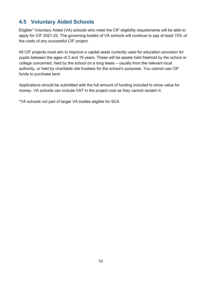## <span id="page-9-0"></span>**4.5 Voluntary Aided Schools**

Eligible\* Voluntary Aided (VA) schools who meet the CIF eligibility requirements will be able to apply for CIF 2021-22. The governing bodies of VA schools will continue to pay at least 10% of the costs of any successful CIF project.

All CIF projects must aim to improve a capital asset currently used for education provision for pupils between the ages of 2 and 19 years. These will be assets held freehold by the school or college concerned, held by the school on a long lease – usually from the relevant local authority, or held by charitable site trustees for the school's purposes. You cannot use CIF funds to purchase land.

Applications should be submitted with the full amount of funding included to show value for money. VA schools can include VAT in the project cost as they cannot reclaim it.

\*VA schools not part of larger VA bodies eligible for SCA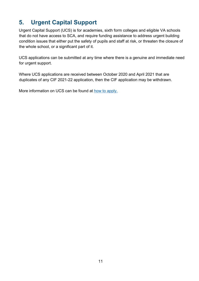# <span id="page-10-0"></span>**5. Urgent Capital Support**

Urgent Capital Support (UCS) is for academies, sixth form colleges and eligible VA schools that do not have access to SCA, and require funding assistance to address urgent building condition issues that either put the safety of pupils and staff at risk, or threaten the closure of the whole school, or a significant part of it.

UCS applications can be submitted at any time where there is a genuine and immediate need for urgent support.

Where UCS applications are received between October 2020 and April 2021 that are duplicates of any CIF 2021-22 application, then the CIF application may be withdrawn.

More information on UCS can be found at [how to apply.](https://www.gov.uk/guidance/condition-improvement-fund)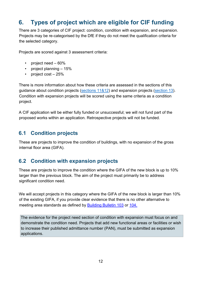# <span id="page-11-0"></span>**6. Types of project which are eligible for CIF funding**

There are 3 categories of CIF project: condition, condition with expansion, and expansion. Projects may be re-categorised by the DfE if they do not meet the qualification criteria for the selected category.

Projects are scored against 3 assessment criteria:

- project need 60%
- project planning 15%
- project cost  $-25%$

There is more information about how these criteria are assessed in the sections of this guidance about condition projects [\(sections 11](#page-23-0)[&12\)](#page-29-0) and expansion projects [\(section](#page-31-0) 13). Condition with expansion projects will be scored using the same criteria as a condition project.

A CIF application will be either fully funded or unsuccessful; we will not fund part of the proposed works within an application. Retrospective projects will not be funded.

## <span id="page-11-1"></span>**6.1 Condition projects**

These are projects to improve the condition of buildings, with no expansion of the gross internal floor area (GIFA).

#### <span id="page-11-2"></span>**6.2 Condition with expansion projects**

These are projects to improve the condition where the GIFA of the new block is up to 10% larger than the previous block. The aim of the project must primarily be to address significant condition need.

We will accept projects in this category where the GIFA of the new block is larger than 10% of the existing GIFA, if you provide clear evidence that there is no other alternative to meeting area standards as defined by [Building Bulletin 103](https://www.gov.uk/government/publications/mainstream-schools-area-guidelines) or [104.](https://www.gov.uk/government/publications/send-and-alternative-provision-area-guidelines)

The evidence for the project need section of condition with expansion must focus on and demonstrate the condition need. Projects that add new functional areas or facilities or wish to increase their published admittance number (PAN), must be submitted as expansion applications.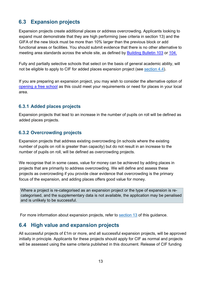## <span id="page-12-0"></span>**6.3 Expansion projects**

Expansion projects create additional places or address overcrowding. Applicants looking to expand must demonstrate that they are high performing (see criteria in section 13) and the GIFA of the new block must be more than 10% larger than the previous block or add functional areas or facilities. You should submit evidence that there is no other alternative to meeting area standards across the whole site, as defined by [Building Bulletin 103](https://www.gov.uk/government/publications/mainstream-schools-area-guidelines) or [104.](https://www.gov.uk/government/publications/send-and-alternative-provision-area-guidelines)

Fully and partially selective schools that select on the basis of general academic ability, will not be eligible to apply to CIF for added places expansion project (see [section 4.4\)](#page-8-2).

If you are preparing an expansion project, you may wish to consider the alternative option of [opening a free school](https://www.gov.uk/government/collections/opening-a-free-school) as this could meet your requirements or need for places in your local area.

#### **6.3.1 Added places projects**

Expansion projects that lead to an increase in the number of pupils on roll will be defined as added places projects.

#### **6.3.2 Overcrowding projects**

Expansion projects that address existing overcrowding (in schools where the existing number of pupils on roll is greater than capacity) but do not result in an increase to the number of pupils on roll, will be defined as overcrowding projects.

We recognise that in some cases, value for money can be achieved by adding places in projects that are primarily to address overcrowding. We will define and assess these projects as overcrowding if you provide clear evidence that overcrowding is the primary focus of the expansion, and adding places offers good value for money.

Where a project is re-categorised as an expansion project or the type of expansion is recategorised, and the supplementary data is not available, the application may be penalised and is unlikely to be successful.

For more information about expansion projects, refer to [section 13](#page-31-0) of this guidance.

#### <span id="page-12-1"></span>**6.4 High value and expansion projects**

All successful projects of £1m or more, and all successful expansion projects, will be approved initially in principle. Applicants for these projects should apply for CIF as normal and projects will be assessed using the same criteria published in this document. Release of CIF funding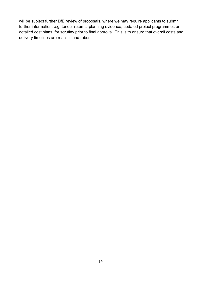will be subject further DfE review of proposals, where we may require applicants to submit further information, e.g. tender returns, planning evidence, updated project programmes or detailed cost plans, for scrutiny prior to final approval. This is to ensure that overall costs and delivery timelines are realistic and robust.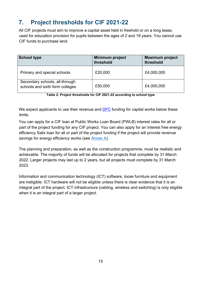# <span id="page-14-0"></span>**7. Project thresholds for CIF 2021-22**

All CIF projects must aim to improve a capital asset held in freehold or on a long lease, used for education provision for pupils between the ages of 2 and 19 years. You cannot use CIF funds to purchase land.

| <b>School type</b>                                                | Minimum project<br>threshold | <b>Maximum project</b><br>threshold |
|-------------------------------------------------------------------|------------------------------|-------------------------------------|
| Primary and special schools                                       | £20,000                      | £4,000,000                          |
| Secondary schools, all-through<br>schools and sixth form colleges | £50,000                      | £4,000,000                          |

**Table 2: Project thresholds for CIF 2021-22 according to school type** 

We expect applicants to use their revenue and **DFC** [f](https://www.gov.uk/government/publications/capital-allocations)unding for capital works below these limits.

You can apply for a CIF loan at Public Works Loan Board (PWLB) interest rates for all or part of the project funding for any CIF project. You can also apply for an interest free energy efficiency Salix loan for all or part of the project funding if the project will provide revenue savings for energy efficiency works (see [Annex A\)](#page-44-0).

The planning and preparation, as well as the construction programme, must be realistic and achievable. The majority of funds will be allocated for projects that complete by 31 March 2022. Larger projects may last up to 2 years, but all projects must complete by 31 March 2023.

Information and communication technology (ICT) software, loose furniture and equipment are ineligible. ICT hardware will not be eligible unless there is clear evidence that it is an integral part of the project. ICT infrastructure (cabling, wireless and switching) is only eligible when it is an integral part of a larger project.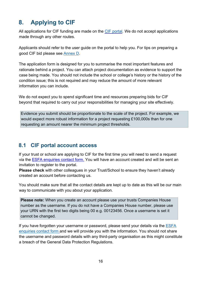# <span id="page-15-0"></span>**8. Applying to CIF**

All applications for CIF funding are made on the [CIF portal.](https://dfe-capital.microsoftcrmportals.com/) We do not accept applications made through any other routes.

Applicants should refer to the user guide on the portal to help you. For tips on preparing a good CIF bid please see [Annex D.](#page-51-0)

The application form is designed for you to summarise the most important features and rationale behind a project. You can attach project documentation as evidence to support the case being made. You should not include the school or college's history or the history of the condition issue; this is not required and may reduce the amount of more relevant information you can include.

We do not expect you to spend significant time and resources preparing bids for CIF beyond that required to carry out your responsibilities for managing your site effectively.

Evidence you submit should be proportionate to the scale of the project. For example, we would expect more robust information for a project requesting £100,000s than for one requesting an amount nearer the minimum project thresholds.

#### <span id="page-15-1"></span>**8.1 CIF portal account access**

If your trust or school are applying to CIF for the first time you will need to send a request via the [ESFA enquiries](https://form.education.gov.uk/en/AchieveForms/?form_uri=sandbox-publish://AF-Process-f9f4f5a1-936f-448b-bbeb-9dcdd595f468/AF-Stage-8aa41278-3cdd-45a3-ad87-80cbffb8b992/definition.json&redirectlink=%2Fen&cancelRedirectLink=%2Fen) contact form. You will have an account created and will be sent an invitation to register to the portal.

**Please check** with other colleagues in your Trust/School to ensure they haven't already created an account before contacting us.

You should make sure that all the contact details are kept up to date as this will be our main way to communicate with you about your application.

**Please note:** When you create an account please use your trusts Companies House number as the username. If you do not have a Companies House number, please use your URN with the first two digits being 00 e.g. 00123456. Once a username is set it cannot be changed.

If you have forgotten your username or password, please send your details via the **ESFA** [enquiries contact form](https://form.education.gov.uk/en/AchieveForms/?form_uri=sandbox-publish://AF-Process-f9f4f5a1-936f-448b-bbeb-9dcdd595f468/AF-Stage-8aa41278-3cdd-45a3-ad87-80cbffb8b992/definition.json&redirectlink=%2Fen&cancelRedirectLink=%2Fen) and we will provide you with the information. You should not share the username and password details with any third-party organisation as this might constitute a breach of the General Data Protection Regulations.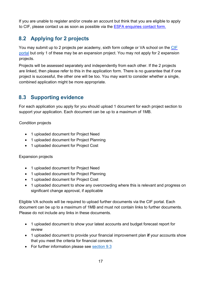If you are unable to register and/or create an account but think that you are eligible to apply to CIF, please contact us as soon as possible via the [ESFA enquiries contact form.](https://form.education.gov.uk/en/AchieveForms/?form_uri=sandbox-publish://AF-Process-f9f4f5a1-936f-448b-bbeb-9dcdd595f468/AF-Stage-8aa41278-3cdd-45a3-ad87-80cbffb8b992/definition.json&redirectlink=%2Fen&cancelRedirectLink=%2Fen)

## <span id="page-16-0"></span>**8.2 Applying for 2 projects**

You may submit up to 2 projects per academy, sixth form college or VA school on th[e](https://efadatacollections.education.gov.uk/sites/cif/Pages/welcome.aspx) [CIF](https://dfe-capital.microsoftcrmportals.com/)  [portal](https://dfe-capital.microsoftcrmportals.com/) [b](https://efadatacollections.education.gov.uk/sites/cif/Pages/welcome.aspx)ut only 1 of these may be an expansion project. You may not apply for 2 expansion projects.

Projects will be assessed separately and independently from each other. If the 2 projects are linked, then please refer to this in the application form. There is no guarantee that if one project is successful, the other one will be too. You may want to consider whether a single, combined application might be more appropriate.

## <span id="page-16-1"></span>**8.3 Supporting evidence**

For each application you apply for you should upload 1 document for each project section to support your application. Each document can be up to a maximum of 1MB.

Condition projects

- 1 uploaded document for Project Need
- 1 uploaded document for Project Planning
- 1 uploaded document for Project Cost

#### Expansion projects

- 1 uploaded document for Project Need
- 1 uploaded document for Project Planning
- 1 uploaded document for Project Cost
- 1 uploaded document to show any overcrowding where this is relevant and progress on significant change approval, if applicable

Eligible VA schools will be required to upload further documents via the CIF portal. Each document can be up to a maximum of 1MB and must not contain links to further documents. Please do not include any links in these documents.

- 1 uploaded document to show your latest accounts and budget forecast report for review
- 1 uploaded document to provide your financial improvement plan **if** your accounts show that you meet the criteria for financial concern.
- For further information please see [section 9.3](#page-20-0)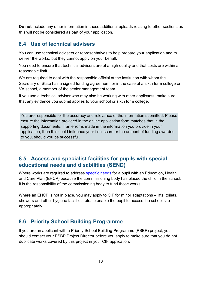**Do not** include any other information in these additional uploads relating to other sections as this will not be considered as part of your application.

#### <span id="page-17-0"></span>**8.4 Use of technical advisers**

You can use technical advisers or representatives to help prepare your application and to deliver the works, but they cannot apply on your behalf.

You need to ensure that technical advisors are of a high quality and that costs are within a reasonable limit.

We are required to deal with the responsible official at the institution with whom the Secretary of State has a signed funding agreement, or in the case of a sixth form college or VA school, a member of the senior management team.

If you use a technical adviser who may also be working with other applicants, make sure that any evidence you submit applies to your school or sixth form college.

You are responsible for the accuracy and relevance of the information submitted. Please ensure the information provided in the online application form matches that in the supporting documents. If an error is made in the information you provide in your application, then this could influence your final score or the amount of funding awarded to you, should you be successful.

#### <span id="page-17-1"></span>**8.5 Access and specialist facilities for pupils with special educational needs and disabilities (SEND)**

Where works are required to address [specific needs](https://www.gov.uk/government/publications/send-code-of-practice-0-to-25) [f](https://www.gov.uk/government/publications/send-code-of-practice-0-to-25)or a pupil with an Education, Health and Care Plan (EHCP) because the commissioning body has placed the child in the school, it is the responsibility of the commissioning body to fund those works.

Where an EHCP is not in place, you may apply to CIF for minor adaptations – lifts, toilets, showers and other hygiene facilities, etc. to enable the pupil to access the school site appropriately.

#### <span id="page-17-2"></span>**8.6 Priority School Building Programme**

If you are an applicant with a Priority School Building Programme (PSBP) project, you should contact your PSBP Project Director before you apply to make sure that you do not duplicate works covered by this project in your CIF application.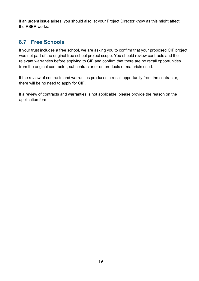If an urgent issue arises, you should also let your Project Director know as this might affect the PSBP works.

## <span id="page-18-0"></span>**8.7 Free Schools**

If your trust includes a free school, we are asking you to confirm that your proposed CIF project was not part of the original free school project scope. You should review contracts and the relevant warranties before applying to CIF and confirm that there are no recall opportunities from the original contractor, subcontractor or on products or materials used.

If the review of contracts and warranties produces a recall opportunity from the contractor, there will be no need to apply for CIF.

If a review of contracts and warranties is not applicable, please provide the reason on the application form.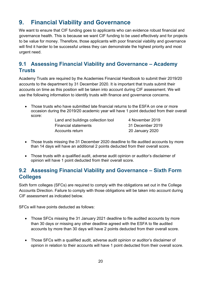# <span id="page-19-0"></span>**9. Financial Viability and Governance**

We want to ensure that CIF funding goes to applicants who can evidence robust financial and governance health. This is because we want CIF funding to be used effectively and for projects to be value for money. Therefore, those applicants with poor financial viability and governance will find it harder to be successful unless they can demonstrate the highest priority and most urgent need.

## <span id="page-19-1"></span>**9.1 Assessing Financial Viability and Governance – Academy Trusts**

Academy Trusts are required by the Academies Financial Handbook to submit their 2019/20 accounts to the department by 31 December 2020. It is important that trusts submit their accounts on time as this position will be taken into account during CIF assessment. We will use the following information to identify trusts with finance and governance concerns.

- Those trusts who have submitted late financial returns to the ESFA on one or more occasion during the 2019/20 academic year will have 1 point deducted from their overall score:
	- Land and buildings collection tool 4 November 2019 Financial statements 31 December 2019 Accounts return 20 January 2020

- Those trusts missing the 31 December 2020 deadline to file audited accounts by more than 14 days will have an additional 2 points deducted from their overall score.
- Those trusts with a qualified audit, adverse audit opinion or auditor's disclaimer of opinion will have 1 point deducted from their overall score.

### <span id="page-19-2"></span>**9.2 Assessing Financial Viability and Governance – Sixth Form Colleges**

Sixth form colleges (SFCs) are required to comply with the obligations set out in the College Accounts Direction. Failure to comply with those obligations will be taken into account during CIF assessment as indicated below.

SFCs will have points deducted as follows:

- Those SFCs missing the 31 January 2021 deadline to file audited accounts by more than 30 days or missing any other deadline agreed with the ESFA to file audited accounts by more than 30 days will have 2 points deducted from their overall score.
- Those SFCs with a qualified audit, adverse audit opinion or auditor's disclaimer of opinion in relation to their accounts will have 1 point deducted from their overall score.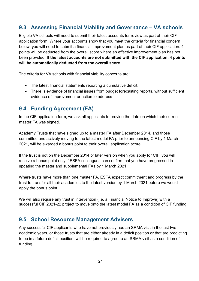## <span id="page-20-0"></span>**9.3 Assessing Financial Viability and Governance – VA schools**

Eligible VA schools will need to submit their latest accounts for review as part of their CIF application form. Where your accounts show that you meet the criteria for financial concern below, you will need to submit a financial improvement plan as part of their CIF application. 4 points will be deducted from the overall score where an effective improvement plan has not been provided. **If the latest accounts are not submitted with the CIF application, 4 points will be automatically deducted from the overall score**.

The criteria for VA schools with financial viability concerns are:

- The latest financial statements reporting a cumulative deficit;
- There is evidence of financial issues from budget forecasting reports, without sufficient evidence of improvement or action to address

### <span id="page-20-1"></span>**9.4 Funding Agreement (FA)**

In the CIF application form, we ask all applicants to provide the date on which their current master FA was signed.

Academy Trusts that have signed up to a master FA after December 2014, and those committed and actively moving to the latest model FA prior to announcing CIF by 1 March 2021, will be awarded a bonus point to their overall application score.

If the trust is not on the December 2014 or later version when you apply for CIF, you will receive a bonus point only if ESFA colleagues can confirm that you have progressed in updating the master and supplemental FAs by 1 March 2021.

Where trusts have more than one master FA, ESFA expect commitment and progress by the trust to transfer all their academies to the latest version by 1 March 2021 before we would apply the bonus point.

We will also require any trust in intervention (i.e. a Financial Notice to Improve) with a successful CIF 2021-22 project to move onto the latest model FA as a condition of CIF funding.

#### <span id="page-20-2"></span>**9.5 School Resource Management Advisers**

Any successful CIF applicants who have not previously had an SRMA visit in the last two academic years, or those trusts that are either already in a deficit position or that are predicting to be in a future deficit position, will be required to agree to an SRMA visit as a condition of funding.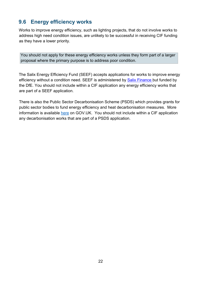## <span id="page-21-0"></span>**9.6 Energy efficiency works**

Works to improve energy efficiency, such as lighting projects, that do not involve works to address high need condition issues, are unlikely to be successful in receiving CIF funding as they have a lower priority.

You should not apply for these energy efficiency works unless they form part of a larger proposal where the primary purpose is to address poor condition.

The Salix Energy Efficiency Fund (SEEF) accepts applications for works to improve energy efficiency without a condition need. SEEF is administered by [Salix Finance](http://www.salixfinance.co.uk/loans/SEEF) [b](http://www.salixfinance.co.uk/loans/SEEF)ut funded by the DfE. You should not include within a CIF application any energy efficiency works that are part of a SEEF application.

There is also the Public Sector Decarbonisation Scheme (PSDS) which provides grants for public sector bodies to fund energy efficiency and heat decarbonisation measures. More information is available [here](https://www.gov.uk/government/publications/public-sector-decarbonisation-scheme-psds) on GOV.UK. You should not include within a CIF application any decarbonisation works that are part of a PSDS application.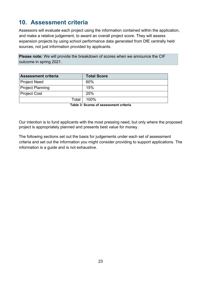## <span id="page-22-0"></span>**10. Assessment criteria**

Assessors will evaluate each project using the information contained within the application, and make a relative judgement, to award an overall project score. They will assess expansion projects by using school performance data generated from DfE centrally held sources, not just information provided by applicants.

**Please note:** We will provide the breakdown of scores when we announce the CIF outcome in spring 2021.

| <b>Assessment criteria</b> | <b>Total Score</b> |
|----------------------------|--------------------|
| <b>Project Need</b>        | 60%                |
| <b>Project Planning</b>    | 15%                |
| <b>Project Cost</b>        | 25%                |
| Total                      | 100%               |

**Table 3: Scores of assessment criteria** 

Our intention is to fund applicants with the most pressing need, but only where the proposed project is appropriately planned and presents best value for money.

The following sections set out the basis for judgements under each set of assessment criteria and set out the information you might consider providing to support applications. The information is a guide and is not exhaustive.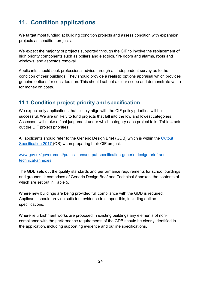# <span id="page-23-0"></span>**11. Condition applications**

We target most funding at building condition projects and assess condition with expansion projects as condition projects.

We expect the majority of projects supported through the CIF to involve the replacement of high priority components such as boilers and electrics, fire doors and alarms, roofs and windows, and asbestos removal.

Applicants should seek professional advice through an independent survey as to the condition of their buildings. They should provide a realistic options appraisal which provides genuine options for consideration. This should set out a clear scope and demonstrate value for money on costs.

## <span id="page-23-1"></span>**11.1 Condition project priority and specification**

We expect only applications that closely align with the CIF policy priorities will be successful. We are unlikely to fund projects that fall into the low and lowest categories. Assessors will make a final judgement under which category each project falls. Table 4 sets out the CIF project priorities.

All applicants should refer to the Generic Design Brief (GDB) which is within the Output [Specification 2017](https://www.gov.uk/government/publications/output-specification-2017-esfa-employers-requirements-part-b) [\(](https://www.gov.uk/government/publications/output-specification-2017-esfa-employers-requirements-part-b)OS) when preparing their CIF project.

#### [www.gov.uk/government/publications/output-specification-generic-design-brief-and](http://www.gov.uk/government/publications/output-specification-generic-design-brief-and-technical-annexes)[technical-annexes](http://www.gov.uk/government/publications/output-specification-generic-design-brief-and-technical-annexes)

The GDB sets out the quality standards and performance requirements for school buildings and grounds. It comprises of Generic Design Brief and Technical Annexes, the contents of which are set out in Table 5.

Where new buildings are being provided full compliance with the GDB is required. Applicants should provide sufficient evidence to support this, including outline specifications.

Where refurbishment works are proposed in existing buildings any elements of noncompliance with the performance requirements of the GDB should be clearly identified in the application, including supporting evidence and outline specifications.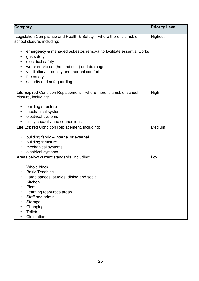| <b>Category</b>                                                                                                                                                                                                                                                            | <b>Priority Level</b> |
|----------------------------------------------------------------------------------------------------------------------------------------------------------------------------------------------------------------------------------------------------------------------------|-----------------------|
| Legislation Compliance and Health & Safety – where there is a risk of<br>school closure, including:                                                                                                                                                                        | Highest               |
| emergency & managed asbestos removal to facilitate essential works<br>gas safety<br>electrical safety<br>water services - (hot and cold) and drainage<br>ventilation/air quality and thermal comfort<br>$\bullet$<br>fire safety<br>$\bullet$<br>security and safeguarding |                       |
| Life Expired Condition Replacement – where there is a risk of school<br>closure, including:                                                                                                                                                                                | High                  |
| building structure<br>mechanical systems<br>$\bullet$<br>electrical systems<br>utility capacity and connections                                                                                                                                                            |                       |
| Life Expired Condition Replacement, including:                                                                                                                                                                                                                             | Medium                |
| building fabric – internal or external<br>$\bullet$<br>building structure<br>mechanical systems<br>electrical systems                                                                                                                                                      |                       |
| Areas below current standards, including:                                                                                                                                                                                                                                  | Low                   |
| Whole block<br><b>Basic Teaching</b><br>Large spaces, studios, dining and social<br>Kitchen<br>Plant<br>Learning resources areas<br>Staff and admin<br>Storage<br>Changing                                                                                                 |                       |
| <b>Toilets</b><br>Circulation                                                                                                                                                                                                                                              |                       |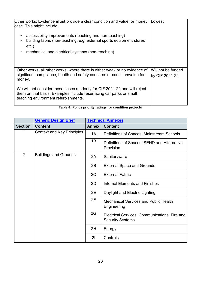| Other works: Evidence must provide a clear condition and value for money<br>case. This might include:                                                                                      | Lowest                               |
|--------------------------------------------------------------------------------------------------------------------------------------------------------------------------------------------|--------------------------------------|
| accessibility improvements (teaching and non-teaching)<br>building fabric (non-teaching, e.g. external sports equipment stores<br>$\bullet$<br>$etc.$ )                                    |                                      |
| mechanical and electrical systems (non-teaching)                                                                                                                                           |                                      |
| Other works: all other works, where there is either weak or no evidence of<br>significant compliance, health and safety concerns or condition/value for<br>money.                          | Will not be funded<br>by CIF 2021-22 |
| We will not consider these cases a priority for CIF 2021-22 and will reject<br>them on that basis. Examples include resurfacing car parks or small<br>teaching environment refurbishments. |                                      |

| Table 4: Policy priority ratings for condition projects |  |  |  |  |  |
|---------------------------------------------------------|--|--|--|--|--|
|---------------------------------------------------------|--|--|--|--|--|

|                | <b>Generic Design Brief</b>       |              | <b>Technical Annexes</b>                                                 |
|----------------|-----------------------------------|--------------|--------------------------------------------------------------------------|
| <b>Section</b> | <b>Content</b>                    | <b>Annex</b> | <b>Content</b>                                                           |
| 1              | <b>Context and Key Principles</b> | 1A           | Definitions of Spaces: Mainstream Schools                                |
|                |                                   | 1B           | Definitions of Spaces: SEND and Alternative<br>Provision                 |
| 2              | <b>Buildings and Grounds</b>      | 2A           | Sanitaryware                                                             |
|                |                                   | 2B           | <b>External Space and Grounds</b>                                        |
|                |                                   | 2C           | <b>External Fabric</b>                                                   |
|                |                                   | 2D           | <b>Internal Elements and Finishes</b>                                    |
|                |                                   | 2E           | Daylight and Electric Lighting                                           |
|                |                                   | 2F           | <b>Mechanical Services and Public Health</b><br>Engineering              |
|                |                                   | 2G           | Electrical Services, Communications, Fire and<br><b>Security Systems</b> |
|                |                                   | 2H           | Energy                                                                   |
|                |                                   | 21           | Controls                                                                 |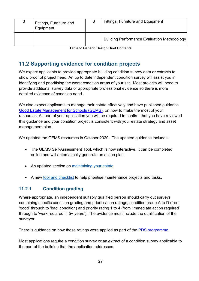| د | Fittings, Furniture and<br>Equipment | Fittings, Furniture and Equipment                  |
|---|--------------------------------------|----------------------------------------------------|
|   |                                      | <b>Building Performance Evaluation Methodology</b> |

**Table 5: Generic Design Brief Contents** 

## <span id="page-26-0"></span>**11.2 Supporting evidence for condition projects**

We expect applicants to provide appropriate building condition survey data or extracts to show proof of project need. An up to date independent condition survey will assist you in identifying and prioritising the worst condition areas of your site. Most projects will need to provide additional survey data or appropriate professional evidence so there is more detailed evidence of condition need.

We also expect applicants to manage their estate effectively and have published guidance [Good Estate Management for Schools \(GEMS\),](https://www.gov.uk/guidance/good-estate-management-for-schools) on how to make the most of your resources. As part of your application you will be required to confirm that you have reviewed this guidance and your condition project is consistent with your estate strategy and asset management plan.

We updated the GEMS resources in October 2020. The updated guidance includes:

- The GEMS Self-Assessment Tool, which is now interactive. It can be completed online and will automatically generate an action plan
- An updated section on [maintaining your estate](https://www.gov.uk/guidance/good-estate-management-for-schools/maintaining-the-estate)
- A new [tool and checklist](https://www.gov.uk/guidance/good-estate-management-for-schools/tools-and-checklists) to help prioritise maintenance projects and tasks.

#### **11.2.1 Condition grading**

Where appropriate, an independent suitably qualified person should carry out surveys containing specific condition grading and prioritisation ratings; condition grade A to D (from 'good' through to 'bad' condition) and priority rating 1 to 4 (from 'immediate action required' through to 'work required in 5+ years'). The evidence must include the qualification of the surveyor.

There is guidance on how these ratings were applied as part of the [PDS programme.](https://www.gov.uk/government/publications/property-data-survey-programme)

Most applications require a condition survey or an extract of a condition survey applicable to the part of the building that the application addresses.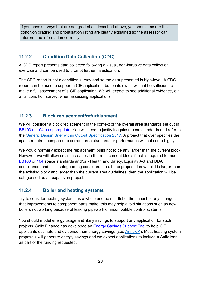If you have surveys that are not graded as described above, you should ensure the condition grading and prioritisation rating are clearly explained so the assessor can interpret the information correctly.

#### **11.2.2 Condition Data Collection (CDC)**

A CDC report presents data collected following a visual, non-intrusive data collection exercise and can be used to prompt further investigation.

The CDC report is not a condition survey and so the data presented is high-level. A CDC report can be used to support a CIF application, but on its own it will not be sufficient to make a full assessment of a CIF application. We will expect to see additional evidence, e.g. a full condition survey, when assessing applications.

#### **11.2.3 Block replacement/refurbishment**

We will consider a block replacement in the context of the overall area standards set out in [BB103 o](https://www.gov.uk/government/publications/mainstream-schools-area-guidelines)r [104 a](https://www.gov.uk/government/publications/send-and-alternative-provision-area-guidelines)s appropriate. You will need to justify it against those standards and refer to the [Generic Design Brief within Output Specification 2017.](https://www.gov.uk/government/publications/output-specification-2017-esfa-employers-requirements-part-b) A project that over specifies the space required compared to current area standards or performance will not score highly.

We would normally expect the replacement build not to be any larger than the current block. However, we will allow small increases in the replacement block if that is required to meet [BB103 o](https://www.gov.uk/government/publications/mainstream-schools-area-guidelines)r [104](https://www.gov.uk/government/publications/send-and-alternative-provision-area-guidelines) space standards and/or - Health and Safety, Equality Act and DDA compliance, and child safeguarding considerations. If the proposed new build is larger than the existing block and larger than the current area guidelines, then the application will be categorised as an expansion project.

#### **11.2.4 Boiler and heating systems**

Try to consider heating systems as a whole and be mindful of the impact of any changes that improvements to component parts make; this may help avoid situations such as new boilers not working because of leaking pipework or incompatible control systems.

You should model energy usage and likely savings to support any application for such projects. Salix Finance has developed an [Energy Savings Support Tool](https://www.salixfinance.co.uk/loans/CIF) [t](https://www.salixfinance.co.uk/loans/CIF)o help CIF applicants estimate and evidence their energy savings (see [Annex A\)](#page-44-0). Most heating system proposals will generate energy savings and we expect applications to include a Salix loan as part of the funding requested.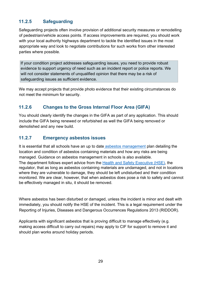#### **11.2.5 Safeguarding**

Safeguarding projects often involve provision of additional security measures or remodelling of pedestrian/vehicle access points. If access improvements are required, you should work with your local authority highways department to tackle the identified issues in the most appropriate way and look to negotiate contributions for such works from other interested parties where possible.

If your condition project addresses safeguarding issues, you need to provide robust evidence to support urgency of need such as an incident report or police reports. We will not consider statements of unqualified opinion that there may be a risk of safeguarding issues as sufficient evidence.

We may accept projects that provide photo evidence that their existing circumstances do not meet the minimum for security.

#### **11.2.6 Changes to the Gross Internal Floor Area (GIFA)**

You should clearly identify the changes in the GIFA as part of any application. This should include the GIFA being renewed or refurbished as well the GIFA being removed or demolished and any new build.

#### **11.2.7 Emergency asbestos issues**

It is essential that all schools have an up to date [asbestos management](https://www.gov.uk/government/publications/asbestos-management-in-schools--2) [p](https://www.gov.uk/government/publications/asbestos-in-schools-policy-review)lan detailing the location and condition of asbestos containing materials and how any risks are being managed. Guidance on [asbestos management in schools i](https://www.gov.uk/government/publications/asbestos-management-in-schools--2)s also available. The department follows expert advice from the [Health and Safety Executive \(HSE\),](http://www.hse.gov.uk/) the regulator, that as long as asbestos containing materials are undamaged, and not in locations where they are vulnerable to damage, they should be left undisturbed and their condition monitored. We are clear, however, that when asbestos does pose a risk to safety and cannot be effectively managed in situ, it should be removed.

Where asbestos has been disturbed or damaged, unless the incident is minor and dealt with immediately, you should notify the HSE of the incident. This is a legal requirement under the Reporting of Injuries, Diseases and Dangerous Occurrences Regulations 2013 (RIDDOR).

Applicants with significant asbestos that is proving difficult to manage effectively (e.g. making access difficult to carry out repairs) may apply to CIF for support to remove it and should plan works around holiday periods.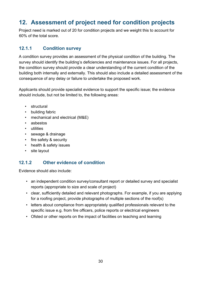# <span id="page-29-0"></span>**12. Assessment of project need for condition projects**

Project need is marked out of 20 for condition projects and we weight this to account for 60% of the total score.

#### **12.1.1 Condition survey**

A condition survey provides an assessment of the physical condition of the building. The survey should identify the building's deficiencies and maintenance issues. For all projects, the condition survey should provide a clear understanding of the current condition of the building both internally and externally. This should also include a detailed assessment of the consequence of any delay or failure to undertake the proposed work.

Applicants should provide specialist evidence to support the specific issue; the evidence should include, but not be limited to, the following areas:

- structural
- building fabric
- mechanical and electrical (M&E)
- asbestos
- utilities
- sewage & drainage
- fire safety & security
- health & safety issues
- site layout

#### **12.1.2 Other evidence of condition**

Evidence should also include:

- an independent condition survey/consultant report or detailed survey and specialist reports (appropriate to size and scale of project)
- clear, sufficiently detailed and relevant photographs. For example, if you are applying for a roofing project, provide photographs of multiple sections of the roof(s)
- letters about compliance from appropriately qualified professionals relevant to the specific issue e.g. from fire officers, police reports or electrical engineers
- Ofsted or other reports on the impact of facilities on teaching and learning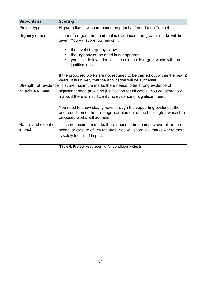| Sub-criteria         | Scoring                                                                                                                                                                          |
|----------------------|----------------------------------------------------------------------------------------------------------------------------------------------------------------------------------|
| Project type         | High/medium/low score based on priority of need (see Table 4)                                                                                                                    |
| Urgency of need      | The more urgent the need that is evidenced, the greater marks will be<br>given. You will score low marks if:                                                                     |
|                      | the level of urgency is low                                                                                                                                                      |
|                      | the urgency of the need is not apparent                                                                                                                                          |
|                      | you include low priority issues alongside urgent works with no<br>justifications                                                                                                 |
|                      | If the proposed works are not required to be carried out within the next 2<br>years, it is unlikely that the application will be successful.                                     |
|                      | Strength of evidence To score maximum marks there needs to be strong evidence of                                                                                                 |
| for extent of need   | significant need providing justification for all works. You will score low<br>marks if there is insufficient / no evidence of significant need.                                  |
|                      | You need to show clearly how, through the supporting evidence, the<br>poor condition of the building(s) or element of the building(s), which the<br>proposed works will address. |
| Nature and extent of | To score maximum marks there needs to be an impact overall on the                                                                                                                |
| impact               | school or closure of key facilities. You will score low marks where there                                                                                                        |
|                      | is solely localised impact.                                                                                                                                                      |
|                      | Table 6: Project Need scoring for condition projects                                                                                                                             |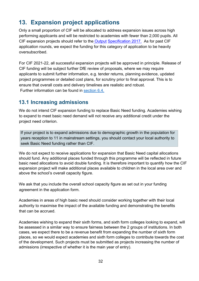## <span id="page-31-0"></span>**13. Expansion project applications**

Only a small proportion of CIF will be allocated to address expansion issues across high performing applicants and will be restricted to academies with fewer than 2,000 pupils. All CIF expansion projects should refer to the [Output](https://www.gov.uk/government/publications/output-specification-2017-esfa-employers-requirements-part-b) [Specification 2017.](https://www.gov.uk/government/publications/output-specification-2017-esfa-employers-requirements-part-b) As for past CIF application rounds, we expect the funding for this category of application to be heavily oversubscribed.

For CIF 2021-22, all successful expansion projects will be approved in principle. Release of CIF funding will be subject further DfE review of proposals, where we may require applicants to submit further information, e.g. tender returns, planning evidence, updated project programmes or detailed cost plans, for scrutiny prior to final approval. This is to ensure that overall costs and delivery timelines are realistic and robust. Further information can be found in [section 6.4.](#page-12-1)

### <span id="page-31-1"></span>**13.1 Increasing admissions**

We do not intend CIF expansion funding to replace Basic Need funding. Academies wishing to expand to meet basic need demand will not receive any additional credit under the project need criterion.

If your project is to expand admissions due to demographic growth in the population for years reception to 11 in mainstream settings, you should contact your local authority to seek Basic Need funding rather than CIF.

We do not expect to receive applications for expansion that Basic Need capital allocations should fund. Any additional places funded through this programme will be reflected in future basic need allocations to avoid double funding. It is therefore important to quantify how the CIF expansion project will make additional places available to children in the local area over and above the school's overall capacity figure.

We ask that you include the overall school capacity figure as set out in your funding agreement in the application form.

Academies in areas of high basic need should consider working together with their local authority to maximise the impact of the available funding and demonstrating the benefits that can be accrued.

Academies wishing to expand their sixth forms, and sixth form colleges looking to expand, will be assessed in a similar way to ensure fairness between the 2 groups of institutions. In both cases, we expect there to be a revenue benefit from expanding the number of sixth form places, so we would expect academies and sixth form colleges to contribute towards the cost of the development. Such projects must be submitted as projects increasing the number of admissions (irrespective of whether it is the main year of entry).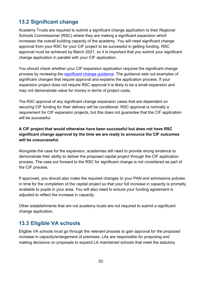## <span id="page-32-0"></span>**13.2 Significant change**

Academy Trusts are required to submit a significant change application to their Regional Schools Commissioner (RSC) where they are making a significant expansion which increases the overall building capacity of the academy. You will need significant change approval from your RSC for your CIF project to be successful in getting funding. RSC approval must be achieved by March 2021, so it is important that you submit your significant change application in parallel with your CIF application.

You should check whether your CIF expansion application requires the significant change process by reviewing the [significant change guidance.](https://www.gov.uk/government/publications/making-significant-changes-to-an-existing-academy) The guidance sets out examples of significant changes that require approval and explains the application process. If your expansion project does not require RSC approval it is likely to be a small expansion and may not demonstrate value for money in terms of project costs.

The RSC approval of any significant change expansion cases that are dependent on securing CIF funding for their delivery will be conditional. RSC approval is normally a requirement for CIF expansion projects, but this does not guarantee that the CIF application will be successful.

#### **A CIF project that would otherwise have been successful but does not have RSC significant change approval by the time we are ready to announce the CIF outcomes will be unsuccessful.**

Alongside the case for the expansion, academies still need to provide strong evidence to demonstrate their ability to deliver the proposed capital project through the CIF application process. The case put forward to the RSC for significant change is not considered as part of the CIF process.

If approved, you should also make the required changes to your PAN and admissions policies in time for the completion of the capital project so that your full increase in capacity is promptly available to pupils in your area. You will also need to ensure your funding agreement is adjusted to reflect the increase in capacity.

Other establishments that are not academy trusts are not required to submit a significant change application.

#### <span id="page-32-1"></span>**13.3 Eligible VA schools**

Eligible VA schools must go through the relevant process to gain approval for the proposed increase in capacity/enlargement of premises. LAs are responsible for proposing and making decisions on proposals to expand LA maintained schools that meet the statutory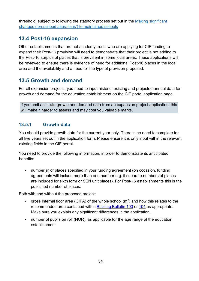threshold, subject to following the statutory process set out in the [Making significant](https://assets.publishing.service.gov.uk/government/uploads/system/uploads/attachment_data/file/756572/Maintained_schools_prescribed_alterations_guidance.pdf)  [changes \('prescribed alterations'\) to maintained schools](https://assets.publishing.service.gov.uk/government/uploads/system/uploads/attachment_data/file/756572/Maintained_schools_prescribed_alterations_guidance.pdf)

### <span id="page-33-0"></span>**13.4 Post-16 expansion**

Other establishments that are not academy trusts who are applying for CIF funding to expand their Post-16 provision will need to demonstrate that their project is not adding to the Post-16 surplus of places that is prevalent in some local areas. These applications will be reviewed to ensure there is evidence of need for additional Post-16 places in the local area and the availability and a need for the type of provision proposed.

### <span id="page-33-1"></span>**13.5 Growth and demand**

For all expansion projects, you need to input historic, existing and projected annual data for growth and demand for the education establishment on the CIF porta[l](https://efadatacollections.education.gov.uk/sites/CIF/Pages/passwordreminder.aspx) application page.

If you omit accurate growth and demand data from an expansion project application, this will make it harder to assess and may cost you valuable marks.

#### **13.5.1 Growth data**

You should provide growth data for the current year only. There is no need to complete for all five years set out in the application form. Please ensure it is only input within the relevant existing fields in the CIF portal.

You need to provide the following information, in order to demonstrate its anticipated benefits:

• number(s) of places specified in your funding agreement (on occasion, funding agreements will include more than one number e.g. if separate numbers of places are included for sixth form or SEN unit places). For Post-16 establishments this is the published number of places:

Both with and without the proposed project:

- gross internal floor area (GIFA) of the whole school  $(m^2)$  and how this relates to the recommended area contained within [Building Bulletin 103](https://www.gov.uk/government/publications/mainstream-schools-area-guidelines) [o](https://www.gov.uk/government/publications/mainstream-schools-area-guidelines)r [104](https://www.gov.uk/government/publications/send-and-alternative-provision-area-guidelines) as appropriate. Make sure you explain any significant differences in the application.
- number of pupils on roll (NOR), as applicable for the age range of the education establishment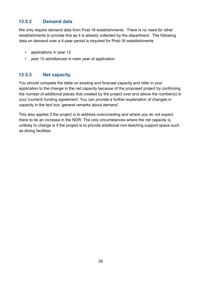#### **13.5.2 Demand data**

We only require demand data from Post-16 establishments. There is no need for other establishments to provide this as it is already collected by the department. The following data on demand over a 4-year period is required for Post-16 establishments:

- applications in year 12
- year 12 admittances in main year of application

#### **13.5.3 Net capacity**

You should complete the table on existing and forecast capacity and refer in your application to the change in the net capacity because of the proposed project by confirming the number of additional places that created by the project over and above the number(s) in your (current) funding agreement. You can provide a further explanation of changes in capacity in the text box 'general remarks about demand'.

This also applies if the project is to address overcrowding and where you do not expect there to be an increase in the NOR. The only circumstances where the net capacity is unlikely to change is if the project is to provide additional non-teaching support space such as dining facilities.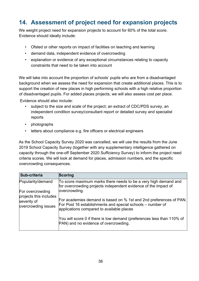# <span id="page-35-0"></span>**14. Assessment of project need for expansion projects**

We weight project need for expansion projects to account for 60% of the total score. Evidence should ideally include:

- Ofsted or other reports on impact of facilities on teaching and learning
- demand data, independent evidence of overcrowding
- explanation or evidence of any exceptional circumstances relating to capacity constraints that need to be taken into account

We will take into account the proportion of schools' pupils who are from a disadvantaged background when we assess the need for expansion that create additional places. This is to support the creation of new places in high performing schools with a high relative proportion of disadvantaged pupils. For added places projects, we will also assess cost per place.

Evidence should also include:

- subject to the size and scale of the project; an extract of CDC/PDS survey, an independent condition survey/consultant report or detailed survey and specialist reports
- photographs
- letters about compliance e.g. fire officers or electrical engineers

As the School Capacity Survey 2020 was cancelled, we will use the results from the June 2019 School Capacity Survey (together with any supplementary intelligence gathered on capacity through the one-off September 2020 Sufficiency Survey) to inform the project need criteria scores. We will look at demand for places, admission numbers, and the specific overcrowding consequences.

| Sub-criteria                                                 | <b>Scoring</b>                                                                                                                                                                |
|--------------------------------------------------------------|-------------------------------------------------------------------------------------------------------------------------------------------------------------------------------|
| Popularity/demand<br>For overcrowding                        | To score maximum marks there needs to be a very high demand and<br>for overcrowding projects independent evidence of the impact of<br>overcrowding.                           |
| projects this includes<br>severity of<br>overcrowding issues | For academies demand is based on % 1st and 2nd preferences of PAN.<br>For Post 16 establishments and special schools – number of<br>applications compared to available places |
|                                                              | You will score 0 if there is low demand (preferences less than 110% of<br>PAN) and no evidence of overcrowding.                                                               |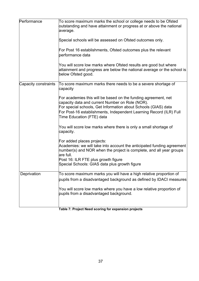| Performance          | To score maximum marks the school or college needs to be Ofsted<br>outstanding and have attainment or progress at or above the national<br>average.                                                                                                                                    |  |  |
|----------------------|----------------------------------------------------------------------------------------------------------------------------------------------------------------------------------------------------------------------------------------------------------------------------------------|--|--|
|                      | Special schools will be assessed on Ofsted outcomes only.                                                                                                                                                                                                                              |  |  |
|                      | For Post 16 establishments, Ofsted outcomes plus the relevant<br>performance data                                                                                                                                                                                                      |  |  |
|                      | You will score low marks where Ofsted results are good but where<br>attainment and progress are below the national average or the school is<br>below Ofsted good.                                                                                                                      |  |  |
| Capacity constraints | To score maximum marks there needs to be a severe shortage of<br>capacity                                                                                                                                                                                                              |  |  |
|                      | For academies this will be based on the funding agreement, net<br>capacity data and current Number on Role (NOR).<br>For special schools, Get Information about Schools (GIAS) data<br>For Post-16 establishments, Independent Learning Record (ILR) Full<br>Time Education (FTE) data |  |  |
|                      | You will score low marks where there is only a small shortage of<br>capacity.                                                                                                                                                                                                          |  |  |
|                      | For added places projects:<br>Academies: we will take into account the anticipated funding agreement<br>number(s) and NOR when the project is complete, and all year groups<br>are full.<br>Post 16: ILR FTE plus growth figure<br>Special Schools: GIAS data plus growth figure       |  |  |
| Deprivation          | To score maximum marks you will have a high relative proportion of<br>pupils from a disadvantaged background as defined by IDACI measures                                                                                                                                              |  |  |
|                      | You will score low marks where you have a low relative proportion of<br>pupils from a disadvantaged background.                                                                                                                                                                        |  |  |
|                      |                                                                                                                                                                                                                                                                                        |  |  |

|  | Table 7: Project Need scoring for expansion projects |
|--|------------------------------------------------------|
|--|------------------------------------------------------|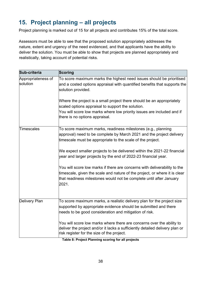# <span id="page-37-0"></span>**15. Project planning – all projects**

Project planning is marked out of 15 for all projects and contributes 15% of the total score.

Assessors must be able to see that the proposed solution appropriately addresses the nature, extent and urgency of the need evidenced, and that applicants have the ability to deliver the solution. You must be able to show that projects are planned appropriately and realistically, taking account of potential risks.

| Sub-criteria                   | <b>Scoring</b>                                                                                                                                                                                                                          |
|--------------------------------|-----------------------------------------------------------------------------------------------------------------------------------------------------------------------------------------------------------------------------------------|
| Appropriateness of<br>solution | To score maximum marks the highest need issues should be prioritised<br>and a costed options appraisal with quantified benefits that supports the<br>solution provided.                                                                 |
|                                | Where the project is a small project there should be an appropriately<br>scaled options appraisal to support the solution.<br>You will score low marks where low priority issues are included and if<br>there is no options appraisal.  |
| Timescales                     | To score maximum marks, readiness milestones (e.g., planning<br>approval) need to be complete by March 2021 and the project delivery<br>timescale must be appropriate to the scale of the project.                                      |
|                                | We expect smaller projects to be delivered within the 2021-22 financial<br>year and larger projects by the end of 2022-23 financial year.                                                                                               |
|                                | You will score low marks if there are concerns with deliverability to the<br>timescale, given the scale and nature of the project, or where it is clear<br>that readiness milestones would not be complete until after January<br>2021. |
| Delivery Plan                  | To score maximum marks, a realistic delivery plan for the project size<br>supported by appropriate evidence should be submitted and there<br>needs to be good consideration and mitigation of risk.                                     |
|                                | You will score low marks where there are concerns over the ability to<br>deliver the project and/or it lacks a sufficiently detailed delivery plan or<br>risk register for the size of the project.                                     |

**Table 8: Project Planning scoring for all projects**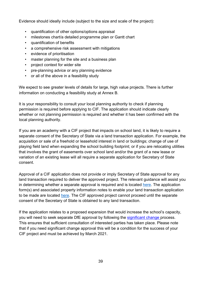Evidence should ideally include (subject to the size and scale of the project):

- quantification of other options/options appraisal
- milestones chart/a detailed programme plan or Gantt chart
- quantification of benefits
- a comprehensive risk assessment with mitigations
- evidence of prioritisation
- master planning for the site and a business plan
- project context for wider site
- pre-planning advice or any planning evidence
- or all of the above in a feasibility study

We expect to see greater levels of details for large, high value projects. There is further information on conducting a feasibility study at Annex B.

It is your responsibility to consult your local planning authority to check if planning permission is required before applying to CIF. The application should indicate clearly whether or not planning permission is required and whether it has been confirmed with the local planning authority.

If you are an academy with a CIF project that impacts on school land, it is likely to require a separate consent of the Secretary of State via a land transaction application. For example, the acquisition or sale of a freehold or leasehold interest in land or buildings; change of use of playing field land when expanding the school building footprint; or if you are relocating utilities that involves the grant of easements over school land and/or the grant of a new lease or variation of an existing lease will all require a separate application for Secretary of State consent.

Approval of a CIF application does not provide or imply Secretary of State approval for any land transaction required to deliver the approved project. The relevant guidance will assist you in determining whether a separate approval is required and is located [here.](https://www.gov.uk/guidance/school-land-and-property-protection-transfer-and-disposal) The application form(s) and associated property information notes to enable your land transaction application to be made are located [here.](https://www.gov.uk/government/publications/academy-property-transactions-advice-and-forms) The CIF approved project cannot proceed until the separate consent of the Secretary of State is obtained to any land transaction.

If the application relates to a proposed expansion that would increase the school's capacity, you will need to seek separate DfE approval by following the [significant change pr](https://www.gov.uk/government/publications/making-significant-changes-to-an-existing-academy)ocess. This ensures that sufficient consultation of interested parties has taken place. Please note that if you need significant change approval this will be a condition for the success of your CIF project and must be achieved by March 2021.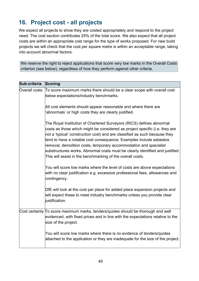## <span id="page-39-0"></span>**16. Project cost - all projects**

We expect all projects to show they are costed appropriately and respond to the project need. The cost section contributes 25% of the total score. We also expect that all project costs are within an appropriate cost range for the type of works proposed. For new build projects we will check that the cost per square metre is within an acceptable range, taking into account abnormal factors.

We reserve the right to reject applications that score very low marks in the Overall Costs criterion (see below), regardless of how they perform against other criteria.

| Sub-criteria  | Scoring                                                                                                                                                                                                                                                                                                                                                                                                                                                                                                                     |
|---------------|-----------------------------------------------------------------------------------------------------------------------------------------------------------------------------------------------------------------------------------------------------------------------------------------------------------------------------------------------------------------------------------------------------------------------------------------------------------------------------------------------------------------------------|
| Overall costs | To score maximum marks there should be a clear scope with overall cost<br>below expectations/industry benchmarks.                                                                                                                                                                                                                                                                                                                                                                                                           |
|               | All cost elements should appear reasonable and where there are<br>'abnormals' or high costs they are clearly justified.                                                                                                                                                                                                                                                                                                                                                                                                     |
|               | The Royal Institution of Chartered Surveyors (RICS) defines abnormal<br>costs as those which might be considered as project specific (i.e. they are<br>not a 'typical' construction cost) and are classified as such because they<br>tend to have a notable cost consequence. Examples include asbestos<br>removal, demolition costs, temporary accommodation and specialist<br>substructures works. Abnormal costs must be clearly identified and justified.<br>This will assist in the benchmarking of the overall costs. |
|               | You will score low marks where the level of costs are above expectations<br>with no clear justification e.g. excessive professional fees, allowances and<br>contingency.                                                                                                                                                                                                                                                                                                                                                    |
|               | DfE will look at the cost per place for added place expansion projects and<br>will expect these to meet industry benchmarks unless you provide clear<br>justification.                                                                                                                                                                                                                                                                                                                                                      |
|               | Cost certainty To score maximum marks, tenders/quotes should be thorough and well<br>evidenced, with fixed prices and in line with the expectations relative to the<br>size of the project.                                                                                                                                                                                                                                                                                                                                 |
|               | You will score low marks where there is no evidence of tenders/quotes<br>attached to the application or they are inadequate for the size of the project.                                                                                                                                                                                                                                                                                                                                                                    |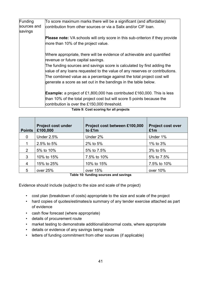| Funding                | To score maximum marks there will be a significant (and affordable)                                                                                    |
|------------------------|--------------------------------------------------------------------------------------------------------------------------------------------------------|
| sources and<br>savings | contribution from other sources or via a Salix and/or CIF loan.                                                                                        |
|                        | <b>Please note:</b> VA schools will only score in this sub-criterion if they provide<br>more than 10% of the project value.                            |
|                        | Where appropriate, there will be evidence of achievable and quantified<br>revenue or future capital savings.                                           |
|                        | The funding sources and savings score is calculated by first adding the<br>value of any loans requested to the value of any reserves or contributions. |
|                        | The combined value as a percentage against the total project cost will<br>generate a score as set out in the bandings in the table below.              |
|                        | <b>Example:</b> a project of £1,800,000 has contributed £160,000. This is less                                                                         |
|                        | than 10% of the total project cost but will score 5 points because the<br>contribution is over the £150,000 threshold.                                 |

| <b>Points</b> | <b>Project cost under</b><br>£100,000 | Project cost between £100,000<br>to £1m                                                                                                                                                                                                    | <b>Project cost over</b><br>£1m |
|---------------|---------------------------------------|--------------------------------------------------------------------------------------------------------------------------------------------------------------------------------------------------------------------------------------------|---------------------------------|
| $\mathbf{0}$  | <b>Under 2.5%</b>                     | Under 2%                                                                                                                                                                                                                                   | Under 1%                        |
|               | 2.5% to 5%                            | 2% to 5%                                                                                                                                                                                                                                   | 1% to 3%                        |
| 2             | 5% to 10%                             | 5% to 7.5%                                                                                                                                                                                                                                 | 3% to 5%                        |
| 3             | 10% to 15%                            | 7.5% to 10%                                                                                                                                                                                                                                | 5% to 7.5%                      |
| 4             | 15% to 25%                            | 10% to 15%                                                                                                                                                                                                                                 | 7.5% to 10%                     |
| 5             | over 25%                              | over 15%<br>The book of Allen and the company of the construction of the second construction of the construction of the construction of the construction of the construction of the construction of the construction of the construction o | over 10%                        |

#### **Table 9: Cost scoring for all projects**

#### **Table 10: funding sources and savings**

Evidence should include (subject to the size and scale of the project)

- cost plan (breakdown of costs) appropriate to the size and scale of the project
- hard copies of quotes/estimates/a summary of any tender exercise attached as part of evidence
- cash flow forecast (where appropriate)
- details of procurement route
- market testing to demonstrate additional/abnormal costs, where appropriate
- details or evidence of any savings being made
- letters of funding commitment from other sources (if applicable)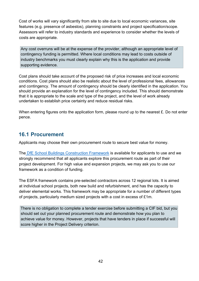Cost of works will vary significantly from site to site due to local economic variances, site features (e.g. presence of asbestos), planning constraints and project specification/scope. Assessors will refer to industry standards and experience to consider whether the levels of costs are appropriate.

Any cost overruns will be at the expense of the provider, although an appropriate level of contingency funding is permitted. Where local conditions may lead to costs outside of industry benchmarks you must clearly explain why this is the application and provide supporting evidence.

Cost plans should take account of the proposed risk of price increases and local economic conditions. Cost plans should also be realistic about the level of professional fees, allowances and contingency. The amount of contingency should be clearly identified in the application. You should provide an explanation for the level of contingency included. This should demonstrate that it is appropriate to the scale and type of the project, and the level of work already undertaken to establish price certainty and reduce residual risks.

When entering figures onto the application form, please round up to the nearest £. Do not enter pence.

#### <span id="page-41-0"></span>**16.1 Procurement**

Applicants may choose their own procurement route to secure best value for money.

The [DfE School Buildings Construction Framework](https://www.gov.uk/government/publications/school-buildings-construction-framework/construction-framework-handbook) is available for applicants to use and we strongly recommend that all applicants explore this procurement route as part of their project development. For high value and expansion projects, we may ask you to use our framework as a condition of funding.

The ESFA framework contains pre-selected contractors across 12 regional lots. It is aimed at individual school projects, both new build and refurbishment, and has the capacity to deliver elemental works. This framework may be appropriate for a number of different types of projects, particularly medium sized projects with a cost in excess of £1m.

There is no obligation to complete a tender exercise before submitting a CIF bid, but you should set out your planned procurement route and demonstrate how you plan to achieve value for money. However, projects that have tenders in place if successful will score higher in the Project Delivery criterion.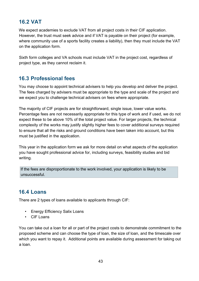## <span id="page-42-0"></span>**16.2 VAT**

We expect academies to exclude VAT from all project costs in their CIF application. However, the trust must seek advice and if VAT is payable on their project (for example, where community use of a sports facility creates a liability), then they must include the VAT on the application form.

Sixth form colleges and VA schools must include VAT in the project cost, regardless of project type, as they cannot reclaim it.

### <span id="page-42-1"></span>**16.3 Professional fees**

You may choose to appoint technical advisers to help you develop and deliver the project. The fees charged by advisers must be appropriate to the type and scale of the project and we expect you to challenge technical advisers on fees where appropriate.

The majority of CIF projects are for straightforward, single issue, lower value works. Percentage fees are not necessarily appropriate for this type of work and if used, we do not expect these to be above 10% of the total project value. For larger projects, the technical complexity of the works may justify slightly higher fees to cover additional surveys required to ensure that all the risks and ground conditions have been taken into account, but this must be justified in the application.

This year in the application form we ask for more detail on what aspects of the application you have sought professional advice for, including surveys, feasibility studies and bid writing.

If the fees are disproportionate to the work involved, your application is likely to be unsuccessful.

## <span id="page-42-2"></span>**16.4 Loans**

There are 2 types of loans available to applicants through CIF:

- Energy Efficiency Salix Loans
- CIF Loans

You can take out a loan for all or part of the project costs to demonstrate commitment to the proposed scheme and can choose the type of loan, the size of loan, and the timescale over which you want to repay it. Additional points are available during assessment for taking out a loan.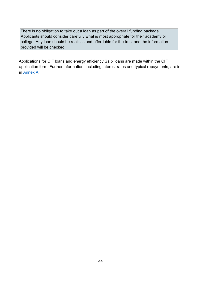There is no obligation to take out a loan as part of the overall funding package. Applicants should consider carefully what is most appropriate for their academy or college. Any loan should be realistic and affordable for the trust and the information provided will be checked.

Applications for CIF loans and energy efficiency Salix loans are made within the CIF application form. Further information, including interest rates and typical repayments, are in in [Annex A.](#page-44-0)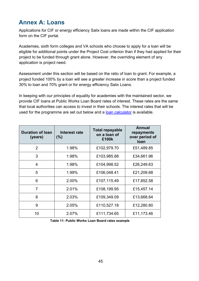## <span id="page-44-0"></span>**Annex A: Loans**

Applications for CIF or energy efficiency Salix loans are made within the CIF application form on the CIF portal[.](https://efadatacollections.education.gov.uk/sites/CIF/Pages/welcome.aspx)

Academies, sixth form colleges and VA schools who choose to apply for a loan will be eligible for additional points under the Project Cost criterion than if they had applied for their project to be funded through grant alone. However, the overriding element of any application is project need.

Assessment under this section will be based on the ratio of loan to grant. For example, a project funded 100% by a loan will see a greater increase in score than a project funded 30% to loan and 70% grant or for energy efficiency Salix Loans.

In keeping with our principles of equality for academies with the maintained sector, we provide CIF loans at Public Works Loan Board rates of interest. These rates are the same that local authorities can access to invest in their schools. The interest rates that will be used for the programme are set out below and a [loan calculator](https://www.gov.uk/guidance/condition-improvement-fund) [i](https://www.gov.uk/guidance/condition-improvement-fund)s available.

| <b>Duration of loan</b><br>(years) | Interest rate<br>(% ) | Total repayable<br>on a loan of<br>£100k | <b>Annual</b><br>repayments<br>over period of<br><b>loan</b> |
|------------------------------------|-----------------------|------------------------------------------|--------------------------------------------------------------|
| $\overline{2}$                     | 1.98%                 | £102,979.70                              | £51,489.85                                                   |
| 3                                  | 1.98%                 | £103,985.88                              | £34,661.96                                                   |
| 4                                  | 1.98%                 | £104,998.52                              | £26,249.63                                                   |
| 5                                  | 1.99%                 | £106,048.41                              | £21,209.68                                                   |
| 6                                  | 2.00%                 | £107,115.49                              | £17,852.58                                                   |
| 7                                  | 2.01%                 | £108,199.95                              | £15,457.14                                                   |
| 8                                  | 2.03%                 | £109,349.09                              | £13,668.64                                                   |
| 9                                  | 2.05%                 | £110,527.18                              | £12,280.80                                                   |
| 10                                 | 2.07%                 | £111,734.65                              | £11,173.46                                                   |

**Table 11: Public Works Loan Board rates example**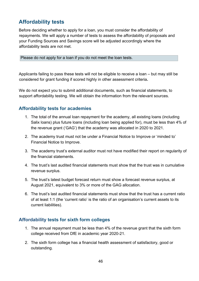## <span id="page-45-0"></span>**Affordability tests**

Before deciding whether to apply for a loan, you must consider the affordability of repayments. We will apply a number of tests to assess the affordability of proposals and your Funding Sources and Savings score will be adjusted accordingly where the affordability tests are not met.

Please do not apply for a loan if you do not meet the loan tests.

Applicants failing to pass these tests will not be eligible to receive a loan – but may still be considered for grant funding if scored highly in other assessment criteria**.** 

We do not expect you to submit additional documents, such as financial statements, to support affordability testing. We will obtain the information from the relevant sources.

#### **Affordability tests for academies**

- 1. The total of the annual loan repayment for the academy, all existing loans (including Salix loans) plus future loans (including loan being applied for), must be less than 4% of the revenue grant ('GAG') that the academy was allocated in 2020 to 2021.
- 2. The academy trust must not be under a Financial Notice to Improve or 'minded to' Financial Notice to Improve.
- 3. The academy trust's external auditor must not have modified their report on regularity of the financial statements.
- 4. The trust's last audited financial statements must show that the trust was in cumulative revenue surplus.
- 5. The trust's latest budget forecast return must show a forecast revenue surplus, at August 2021, equivalent to 3% or more of the GAG allocation.
- 6. The trust's last audited financial statements must show that the trust has a current ratio of at least 1:1 (the 'current ratio' is the ratio of an organisation's current assets to its current liabilities).

#### **Affordability tests for sixth form colleges**

- 1. The annual repayment must be less than 4% of the revenue grant that the sixth form college received from DfE in academic year 2020-21.
- 2. The sixth form college has a financial health assessment of satisfactory, good or outstanding.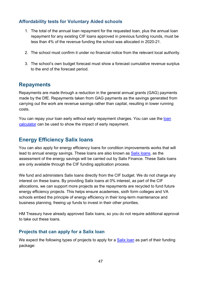#### **Affordability tests for Voluntary Aided schools**

- 1. The total of the annual loan repayment for the requested loan, plus the annual loan repayment for any existing CIF loans approved in previous funding rounds, must be less than 4% of the revenue funding the school was allocated in 2020-21.
- 2. The school must confirm it under no financial notice from the relevant local authority.
- 3. The school's own budget forecast must show a forecast cumulative revenue surplus to the end of the forecast period.

#### <span id="page-46-0"></span>**Repayments**

Repayments are made through a reduction in the general annual grants (GAG) payments made by the DfE. Repayments taken from GAG payments as the savings generated from carrying out the work are revenue savings rather than capital, resulting in lower running costs.

You can repay your [loan](https://www.gov.uk/guidance/condition-improvement-fund) early without early repayment charges. You can use the loan [calculator](https://www.gov.uk/guidance/condition-improvement-fund) can be used to show the impact of early repayment.

#### <span id="page-46-1"></span>**Energy Efficiency Salix loans**

You can also apply for energy efficiency loans for condition improvements works that will lead to annual energy savings. These loans are also known as [Salix loans,](http://salixfinance.co.uk/loans/CIF) as the assessment of the energy savings will be carried out by Salix Finance. These Salix loans are only available through the CIF funding application process.

We fund and administers Salix loans directly from the CIF budget. We do not charge any interest on these loans. By providing Salix loans at 0% interest, as part of the CIF allocations, we can support more projects as the repayments are recycled to fund future energy efficiency projects. This helps ensure academies, sixth form colleges and VA schools embed the principle of energy efficiency in their long-term maintenance and business planning, freeing up funds to invest in their other priorities.

HM Treasury have already approved Salix loans, so you do not require additional approval to take out these loans.

#### **Projects that can apply for a Salix loan**

We expect the following types of projects to apply for a [Salix loan](http://salixfinance.co.uk/loans/CIF) [a](http://salixfinance.co.uk/loans/CIF)s part of their funding package: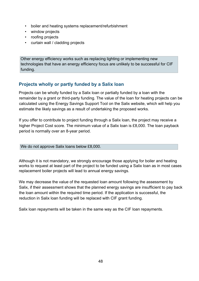- boiler and heating systems replacement/refurbishment
- window projects
- roofing projects
- curtain wall / cladding projects

Other energy efficiency works such as replacing lighting or implementing new technologies that have an energy efficiency focus are unlikely to be successful for CIF funding.

#### **Projects wholly or partly funded by a Salix loan**

Projects can be wholly funded by a Salix loan or partially funded by a loan with the remainder by a grant or third-party funding. The value of the loan for heating projects can be calculated using the Energy Savings Support Tool on the Salix website, which will help you estimate the likely savings as a result of undertaking the proposed works.

If you offer to contribute to project funding through a Salix loan, the project may receive a higher Project Cost score. The minimum value of a Salix loan is £8,000. The loan payback period is normally over an 8-year period.

We do not approve Salix loans below £8,000.

Although it is not mandatory, we strongly encourage those applying for boiler and heating works to request at least part of the project to be funded using a Salix loan as in most cases replacement boiler projects will lead to annual energy savings.

We may decrease the value of the requested loan amount following the assessment by Salix, if their assessment shows that the planned energy savings are insufficient to pay back the loan amount within the required time period. If the application is successful, the reduction in Salix loan funding will be replaced with CIF grant funding.

Salix loan repayments will be taken in the same way as the CIF loan repayments.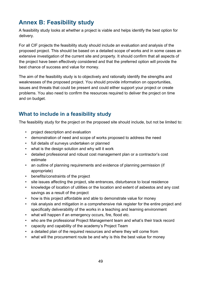# <span id="page-48-0"></span>**Annex B: Feasibility study**

A feasibility study looks at whether a project is viable and helps identify the best option for delivery.

For all CIF projects the feasibility study should include an evaluation and analysis of the proposed project. This should be based on a detailed scope of works and in some cases an extensive investigation of the current site and property. It should confirm that all aspects of the project have been effectively considered and that the preferred option will provide the best chance of success and value for money.

The aim of the feasibility study is to objectively and rationally identify the strengths and weaknesses of the proposed project. You should provide information on opportunities, issues and threats that could be present and could either support your project or create problems. You also need to confirm the resources required to deliver the project on time and on budget.

## <span id="page-48-1"></span>**What to include in a feasibility study**

The feasibility study for the project on the proposed site should include, but not be limited to:

- project description and evaluation
- demonstration of need and scope of works proposed to address the need
- full details of surveys undertaken or planned
- what is the design solution and why will it work
- detailed professional and robust cost management plan or a contractor's cost estimate
- an outline of planning requirements and evidence of planning permission (if appropriate)
- benefits/constraints of the project
- site issues affecting the project, site entrances, disturbance to local residence
- knowledge of location of utilities or the location and extent of asbestos and any cost savings as a result of the project
- how is this project affordable and able to demonstrate value for money
- risk analysis and mitigation in a comprehensive risk register for the entire project and specifically deliverability of the works in a teaching and learning environment
- what will happen if an emergency occurs, fire, flood etc.
- who are the professional Project Management team and what's their track record
- capacity and capability of the academy's Project Team
- a detailed plan of the required resources and where they will come from
- what will the procurement route be and why is this the best value for money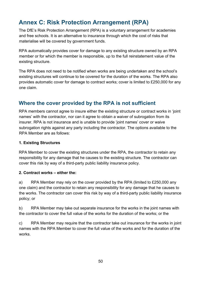# <span id="page-49-0"></span>**Annex C: Risk Protection Arrangement (RPA)**

The DfE's Risk Protection Arrangement (RPA) is a voluntary arrangement for academies and free schools. It is an alternative to insurance through which the cost of risks that materialise will be covered by government funds.

RPA automatically provides cover for damage to any existing structure owned by an RPA member or for which the member is responsible, up to the full reinstatement value of the existing structure.

The RPA does not need to be notified when works are being undertaken and the school's existing structures will continue to be covered for the duration of the works. The RPA also provides automatic cover for damage to contract works; cover is limited to £250,000 for any one claim.

#### <span id="page-49-1"></span>**Where the cover provided by the RPA is not sufficient**

RPA members cannot agree to insure either the existing structure or contract works in 'joint names' with the contractor, nor can it agree to obtain a waiver of subrogation from its insurer. RPA is not insurance and is unable to provide 'joint names' cover or waive subrogation rights against any party including the contractor. The options available to the RPA Member are as follows:

#### **1. Existing Structures**

RPA Member to cover the existing structures under the RPA, the contractor to retain any responsibility for any damage that he causes to the existing structure. The contractor can cover this risk by way of a third-party public liability insurance policy.

#### **2. Contract works – either the:**

a) RPA Member may rely on the cover provided by the RPA (limited to £250,000 any one claim) and the contractor to retain any responsibility for any damage that he causes to the works. The contractor can cover this risk by way of a third-party public liability insurance policy; or

b) RPA Member may take out separate insurance for the works in the joint names with the contractor to cover the full value of the works for the duration of the works; or the

c) RPA Member may require that the contractor take out insurance for the works in joint names with the RPA Member to cover the full value of the works and for the duration of the works.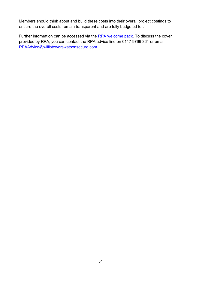Members should think about and build these costs into their overall project costings to ensure the overall costs remain transparent and are fully budgeted for.

Further information can be accessed via the [RPA welcome pack.](https://www.rpaclaimforms.co.uk/membership-information-page/) To discuss the cover provided by RPA, you can contact the RPA advice line on 0117 9769 361 or email RPAAdvice@willistowerswatsonsecure.com.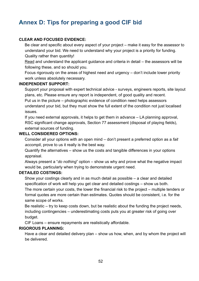# <span id="page-51-0"></span>**Annex D: Tips for preparing a good CIF bid**

#### **CLEAR AND FOCUSED EVIDENCE:**

Be clear and specific about every aspect of your project – make it easy for the assessor to understand your bid. We need to understand why your project is a priority for funding. Quality rather than quantity!

Read and understand the applicant guidance and criteria in detail – the assessors will be following these, and so should you.

Focus rigorously on the areas of highest need and urgency – don't include lower priority work unless absolutely necessary.

#### **INDEPENDENT SUPPORT:**

Support your proposal with expert technical advice - surveys, engineers reports, site layout plans, etc. Please ensure any report is independent, of good quality and recent. Put us in the picture – photographic evidence of condition need helps assessors understand your bid, but they must show the full extent of the condition not just localised issues.

If you need external approvals, it helps to get them in advance – LA planning approval, RSC significant change approvals, Section 77 assessment (disposal of playing fields), external sources of funding.

#### **WELL CONSIDERED OPTIONS:**

Consider all your options with an open mind – don't present a preferred option as a *fait accompli*, prove to us it really is the best way.

Quantify the alternatives – show us the costs and tangible differences in your options appraisal.

Always present a "*do nothing*" option – show us why and prove what the negative impact would be, particularly when trying to demonstrate urgent need.

#### **DETAILED COSTINGS:**

Show your costings clearly and in as much detail as possible – a clear and detailed specification of work will help you get clear and detailed costings – show us both.

The more certain your costs, the lower the financial risk to the project – multiple tenders or formal quotes are more certain than estimates. Quotes should be consistent, i.e. for the same scope of works.

Be realistic – try to keep costs down, but be realistic about the funding the project needs, including contingencies – underestimating costs puts you at greater risk of going over budget.

CIF Loans – ensure repayments are realistically affordable.

#### **RIGOROUS PLANNING:**

Have a clear and detailed delivery plan – show us how, when, and by whom the project will be delivered.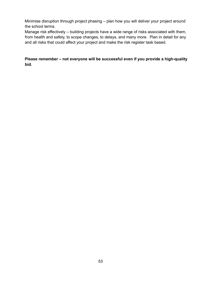Minimise disruption through project phasing – plan how you will deliver your project around the school terms.

Manage risk effectively – building projects have a wide range of risks associated with them, from health and safety, to scope changes, to delays, and many more. Plan in detail for any and all risks that could affect your project and make the risk register task based.

**Please remember – not everyone will be successful even if you provide a high-quality bid.**